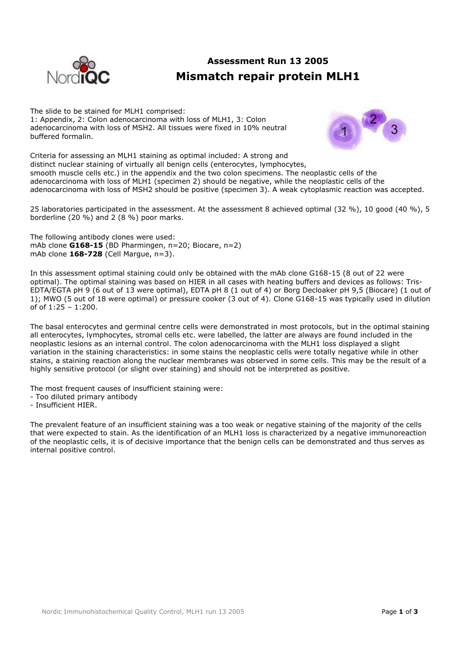

## **Assessment Run 13 2005 Mismatch repair protein MLH1**

The slide to be stained for MLH1 comprised: 1: Appendix, 2: Colon adenocarcinoma with loss of MLH1, 3: Colon adenocarcinoma with loss of MSH2. All tissues were fixed in 10% neutral buffered formalin.



Criteria for assessing an MLH1 staining as optimal included: A strong and distinct nuclear staining of virtually all benign cells (enterocytes, lymphocytes, smooth muscle cells etc.) in the appendix and the two colon specimens. The neoplastic cells of the adenocarcinoma with loss of MLH1 (specimen 2) should be negative, while the neoplastic cells of the adenocarcinoma with loss of MSH2 should be positive (specimen 3). A weak cytoplasmic reaction was accepted.

25 laboratories participated in the assessment. At the assessment 8 achieved optimal (32 %), 10 good (40 %), 5 borderline (20 %) and 2 (8 %) poor marks.

The following antibody clones were used: mAb clone **G168-15** (BD Pharmingen, n=20; Biocare, n=2) mAb clone **168-728** (Cell Margue, n=3).

In this assessment optimal staining could only be obtained with the mAb clone G168-15 (8 out of 22 were optimal). The optimal staining was based on HIER in all cases with heating buffers and devices as follows: Tris-EDTA/EGTA pH 9 (6 out of 13 were optimal), EDTA pH 8 (1 out of 4) or Borg Decloaker pH 9,5 (Biocare) (1 out of 1); MWO (5 out of 18 were optimal) or pressure cooker (3 out of 4). Clone G168-15 was typically used in dilution of of 1:25 – 1:200.

The basal enterocytes and germinal centre cells were demonstrated in most protocols, but in the optimal staining all enterocytes, lymphocytes, stromal cells etc. were labelled, the latter are always are found included in the neoplastic lesions as an internal control. The colon adenocarcinoma with the MLH1 loss displayed a slight variation in the staining characteristics: in some stains the neoplastic cells were totally negative while in other stains, a staining reaction along the nuclear membranes was observed in some cells. This may be the result of a highly sensitive protocol (or slight over staining) and should not be interpreted as positive.

The most frequent causes of insufficient staining were:

- Too diluted primary antibody
- Insufficient HIER.

The prevalent feature of an insufficient staining was a too weak or negative staining of the majority of the cells that were expected to stain. As the identification of an MLH1 loss is characterized by a negative immunoreaction of the neoplastic cells, it is of decisive importance that the benign cells can be demonstrated and thus serves as internal positive control.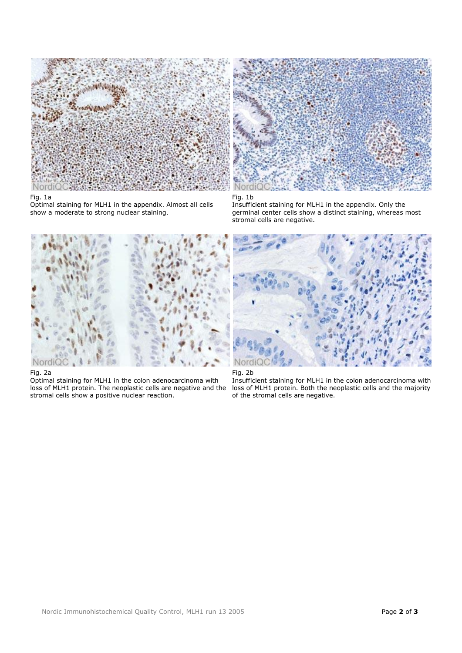

## Fig. 1a

Optimal staining for MLH1 in the appendix. Almost all cells show a moderate to strong nuclear staining.



Fig. 1b

Insufficient staining for MLH1 in the appendix. Only the germinal center cells show a distinct staining, whereas most stromal cells are negative.



## Fig. 2a

Optimal staining for MLH1 in the colon adenocarcinoma with loss of MLH1 protein. The neoplastic cells are negative and the stromal cells show a positive nuclear reaction.





Insufficient staining for MLH1 in the colon adenocarcinoma with loss of MLH1 protein. Both the neoplastic cells and the majority of the stromal cells are negative.